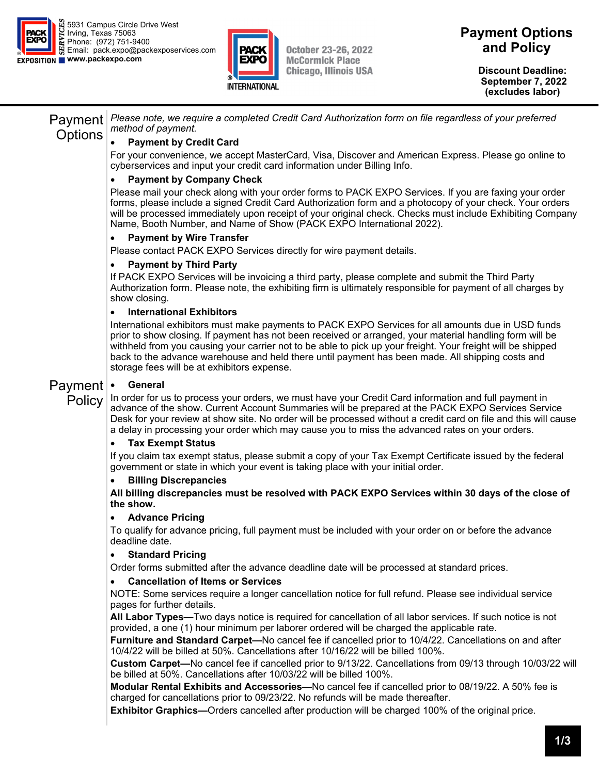



**October 23-26, 2022 McCormick Place Chicago, Illinois USA**  **Payment Options and Policy** 

> **Discount Deadline: September 7, 2022 (excludes labor)**

Payment **Options** *Please note, we require a completed Credit Card Authorization form on file regardless of your preferred method of payment.*  **Payment by Credit Card** 

For your convenience, we accept MasterCard, Visa, Discover and American Express. Please go online to cyberservices and input your credit card information under Billing Info.

## **Payment by Company Check**

Please mail your check along with your order forms to PACK EXPO Services. If you are faxing your order forms, please include a signed Credit Card Authorization form and a photocopy of your check. Your orders will be processed immediately upon receipt of your original check. Checks must include Exhibiting Company Name, Booth Number, and Name of Show (PACK EXPO International 2022).

### **Payment by Wire Transfer**

Please contact PACK EXPO Services directly for wire payment details.

### **Payment by Third Party**

If PACK EXPO Services will be invoicing a third party, please complete and submit the Third Party Authorization form. Please note, the exhibiting firm is ultimately responsible for payment of all charges by show closing.

### **International Exhibitors**

International exhibitors must make payments to PACK EXPO Services for all amounts due in USD funds prior to show closing. If payment has not been received or arranged, your material handling form will be withheld from you causing your carrier not to be able to pick up your freight. Your freight will be shipped back to the advance warehouse and held there until payment has been made. All shipping costs and storage fees will be at exhibitors expense.

#### Payment **General**

**Policy** In order for us to process your orders, we must have your Credit Card information and full payment in advance of the show. Current Account Summaries will be prepared at the PACK EXPO Services Service Desk for your review at show site. No order will be processed without a credit card on file and this will cause a delay in processing your order which may cause you to miss the advanced rates on your orders.

### **Tax Exempt Status**

If you claim tax exempt status, please submit a copy of your Tax Exempt Certificate issued by the federal government or state in which your event is taking place with your initial order.

### **Billing Discrepancies**

**All billing discrepancies must be resolved with PACK EXPO Services within 30 days of the close of the show.** 

### **Advance Pricing**

To qualify for advance pricing, full payment must be included with your order on or before the advance deadline date.

### **Standard Pricing**

Order forms submitted after the advance deadline date will be processed at standard prices.

### **Cancellation of Items or Services**

NOTE: Some services require a longer cancellation notice for full refund. Please see individual service pages for further details.

**All Labor Types—**Two days notice is required for cancellation of all labor services. If such notice is not provided, a one (1) hour minimum per laborer ordered will be charged the applicable rate.

**Furniture and Standard Carpet—**No cancel fee if cancelled prior to 10/4/22. Cancellations on and after 10/4/22 will be billed at 50%. Cancellations after 10/16/22 will be billed 100%.

**Custom Carpet—**No cancel fee if cancelled prior to 9/13/22. Cancellations from 09/13 through 10/03/22 will be billed at 50%. Cancellations after 10/03/22 will be billed 100%.

**Modular Rental Exhibits and Accessories—**No cancel fee if cancelled prior to 08/19/22. A 50% fee is charged for cancellations prior to 09/23/22. No refunds will be made thereafter.

**Exhibitor Graphics—**Orders cancelled after production will be charged 100% of the original price.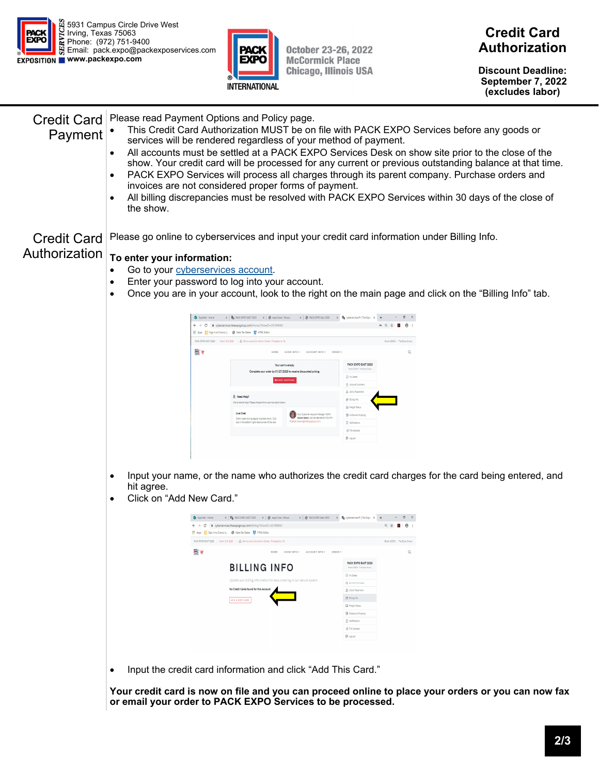



October 23-26, 2022 **McCormick Place Chicago, Illinois USA** 

**Discount Deadline: September 7, 2022 (excludes labor)** 

| Payment                                                                                         | $\bullet$<br>$\bullet$<br>$\bullet$<br>the show.                                                                                                                |                                                               | Credit Card   Please read Payment Options and Policy page.<br>This Credit Card Authorization MUST be on file with PACK EXPO Services before any goods or<br>services will be rendered regardless of your method of payment.<br>All accounts must be settled at a PACK EXPO Services Desk on show site prior to the close of the<br>PACK EXPO Services will process all charges through its parent company. Purchase orders and<br>invoices are not considered proper forms of payment.<br>All billing discrepancies must be resolved with PACK EXPO Services within 30 days of the close of |                                                |                                                                                                  | show. Your credit card will be processed for any current or previous outstanding balance at that time. |  |  |  |                                                                                                                    |
|-------------------------------------------------------------------------------------------------|-----------------------------------------------------------------------------------------------------------------------------------------------------------------|---------------------------------------------------------------|---------------------------------------------------------------------------------------------------------------------------------------------------------------------------------------------------------------------------------------------------------------------------------------------------------------------------------------------------------------------------------------------------------------------------------------------------------------------------------------------------------------------------------------------------------------------------------------------|------------------------------------------------|--------------------------------------------------------------------------------------------------|--------------------------------------------------------------------------------------------------------|--|--|--|--------------------------------------------------------------------------------------------------------------------|
| <b>Credit Card</b>                                                                              |                                                                                                                                                                 |                                                               | Please go online to cyberservices and input your credit card information under Billing Info.                                                                                                                                                                                                                                                                                                                                                                                                                                                                                                |                                                |                                                                                                  |                                                                                                        |  |  |  |                                                                                                                    |
| Authorization                                                                                   | To enter your information:                                                                                                                                      |                                                               |                                                                                                                                                                                                                                                                                                                                                                                                                                                                                                                                                                                             |                                                |                                                                                                  |                                                                                                        |  |  |  |                                                                                                                    |
| Go to your cyberservices account.<br>Enter your password to log into your account.<br>$\bullet$ |                                                                                                                                                                 |                                                               |                                                                                                                                                                                                                                                                                                                                                                                                                                                                                                                                                                                             |                                                |                                                                                                  |                                                                                                        |  |  |  |                                                                                                                    |
|                                                                                                 |                                                                                                                                                                 |                                                               |                                                                                                                                                                                                                                                                                                                                                                                                                                                                                                                                                                                             |                                                |                                                                                                  |                                                                                                        |  |  |  | Once you are in your account, look to the right on the main page and click on the "Billing Info" tab.<br>$\bullet$ |
|                                                                                                 |                                                                                                                                                                 |                                                               |                                                                                                                                                                                                                                                                                                                                                                                                                                                                                                                                                                                             |                                                |                                                                                                  |                                                                                                        |  |  |  |                                                                                                                    |
|                                                                                                 |                                                                                                                                                                 |                                                               | $x$   $\mathbb{H}_{\mathbb{H}}$ PICK EXPO EAST 2020 $x \mid \mathcal{O}$ expoûde / Shows $x \mid \mathcal{O}$ PICK EXPO East 2020 $x \mid \mathbb{H}_{\mathbb{H}}$ operatrices®   The Expo $x \mid +$<br>C & cyberservices.theexpogroup.com/Home/?ShowID=201909002                                                                                                                                                                                                                                                                                                                          |                                                | $\bullet \quad \circledast \quad \star \quad \blacksquare \quad \Theta \quad \mathrel{\mathop:}$ |                                                                                                        |  |  |  |                                                                                                                    |
|                                                                                                 |                                                                                                                                                                 | H Apps C Sign in to Concur   @ Sales Tax States T HTML Editor |                                                                                                                                                                                                                                                                                                                                                                                                                                                                                                                                                                                             |                                                |                                                                                                  |                                                                                                        |  |  |  |                                                                                                                    |
|                                                                                                 |                                                                                                                                                                 | 日点                                                            | RACK EXPO EAST 2020   March 3-5, 2020   Big Pannsylvania Convention Canter   Philadelphia, PA<br>HOME SHOW INFO * ACCOUNT INFO * ORDER *                                                                                                                                                                                                                                                                                                                                                                                                                                                    |                                                | Booth 20000 - The Expo Group                                                                     |                                                                                                        |  |  |  |                                                                                                                    |
|                                                                                                 |                                                                                                                                                                 |                                                               |                                                                                                                                                                                                                                                                                                                                                                                                                                                                                                                                                                                             | PACK EXPO EAST 2020                            |                                                                                                  |                                                                                                        |  |  |  |                                                                                                                    |
|                                                                                                 |                                                                                                                                                                 |                                                               | Your cart is empty.<br>Complete your order by 01/27/2020 to receive discounted pricing.                                                                                                                                                                                                                                                                                                                                                                                                                                                                                                     | Booth 20000 . The Expo Gro<br>O My Dates       |                                                                                                  |                                                                                                        |  |  |  |                                                                                                                    |
|                                                                                                 |                                                                                                                                                                 |                                                               | <b>WATART SHOPPING</b>                                                                                                                                                                                                                                                                                                                                                                                                                                                                                                                                                                      | Account Summery<br><b>Q</b> Utility Placement  |                                                                                                  |                                                                                                        |  |  |  |                                                                                                                    |
|                                                                                                 |                                                                                                                                                                 |                                                               | R Need Help?<br>We're here to help! Please choose from a service option below:                                                                                                                                                                                                                                                                                                                                                                                                                                                                                                              | @ Biling Info                                  |                                                                                                  |                                                                                                        |  |  |  |                                                                                                                    |
|                                                                                                 |                                                                                                                                                                 |                                                               | Your Customer Account Manager (CAM)<br>Dianne Bailey, can be reached at 972-751-                                                                                                                                                                                                                                                                                                                                                                                                                                                                                                            | <b>D</b> Preight Status<br>C Outbound Shipping |                                                                                                  |                                                                                                        |  |  |  |                                                                                                                    |
|                                                                                                 |                                                                                                                                                                 |                                                               | Live Creet<br>Chet is open during regular business hours. Just 1998 (1999) Diamer Balley, can be reached<br>look in the bottom right-hand corner of this site. 1999 or closific (Dimensport) com                                                                                                                                                                                                                                                                                                                                                                                            | <b>D</b> Notification<br>-B File Uploads       |                                                                                                  |                                                                                                        |  |  |  |                                                                                                                    |
|                                                                                                 |                                                                                                                                                                 |                                                               |                                                                                                                                                                                                                                                                                                                                                                                                                                                                                                                                                                                             | <sup>Th</sup> Log out                          |                                                                                                  |                                                                                                        |  |  |  |                                                                                                                    |
|                                                                                                 |                                                                                                                                                                 |                                                               |                                                                                                                                                                                                                                                                                                                                                                                                                                                                                                                                                                                             |                                                |                                                                                                  |                                                                                                        |  |  |  |                                                                                                                    |
|                                                                                                 | Input your name, or the name who authorizes the credit card charges for the card being entered, and<br>٠<br>hit agree.<br>Click on "Add New Card."<br>$\bullet$ |                                                               |                                                                                                                                                                                                                                                                                                                                                                                                                                                                                                                                                                                             |                                                |                                                                                                  |                                                                                                        |  |  |  |                                                                                                                    |
|                                                                                                 |                                                                                                                                                                 |                                                               | $x$   $W_0$ PACKEXPO EAST 2020 $x \mid \emptyset$ expoCube / Shows $x \mid \emptyset$ PACKEXPO East 2020 $x \mid W_0$ syberservices *   The Expo $x +$<br>$\leftarrow$ $\rightarrow$ $\mathbf{C}$ iii cyberservices the expogroup.com/Billing/?ShowID=201909002                                                                                                                                                                                                                                                                                                                             |                                                | Q ☆ ■ B :                                                                                        |                                                                                                        |  |  |  |                                                                                                                    |
|                                                                                                 |                                                                                                                                                                 | E Apps C Sign in to Concur   @ Sales Tax States E HTML Editor | PACK EXPO EAST 2020   March 3-5, 2020   @ Pannsylvania Convention Center   Philadelphia, PA                                                                                                                                                                                                                                                                                                                                                                                                                                                                                                 |                                                | Booth 20000 - The Expo Group                                                                     |                                                                                                        |  |  |  |                                                                                                                    |
|                                                                                                 |                                                                                                                                                                 | ◙∀                                                            | HOME SHOW INFO * ACCOUNT INFO * ORDER *                                                                                                                                                                                                                                                                                                                                                                                                                                                                                                                                                     |                                                |                                                                                                  |                                                                                                        |  |  |  |                                                                                                                    |
|                                                                                                 |                                                                                                                                                                 |                                                               | <b>BILLING INFO</b>                                                                                                                                                                                                                                                                                                                                                                                                                                                                                                                                                                         | PACK EXPO EAST 2020                            |                                                                                                  |                                                                                                        |  |  |  |                                                                                                                    |
|                                                                                                 |                                                                                                                                                                 |                                                               | Jpdate your billing information for easy ordering in our secure system.                                                                                                                                                                                                                                                                                                                                                                                                                                                                                                                     | C My Dates                                     |                                                                                                  |                                                                                                        |  |  |  |                                                                                                                    |
|                                                                                                 |                                                                                                                                                                 |                                                               | No Credit Cards found for this Account                                                                                                                                                                                                                                                                                                                                                                                                                                                                                                                                                      | C Account Summary<br>员 Utility Placement       |                                                                                                  |                                                                                                        |  |  |  |                                                                                                                    |
|                                                                                                 |                                                                                                                                                                 |                                                               | ADD A NEW CARD                                                                                                                                                                                                                                                                                                                                                                                                                                                                                                                                                                              | @ Bling Info<br><b>Ca</b> Preight Status       |                                                                                                  |                                                                                                        |  |  |  |                                                                                                                    |
|                                                                                                 |                                                                                                                                                                 |                                                               |                                                                                                                                                                                                                                                                                                                                                                                                                                                                                                                                                                                             | <b>G</b> Outbound Shippin                      |                                                                                                  |                                                                                                        |  |  |  |                                                                                                                    |
|                                                                                                 |                                                                                                                                                                 |                                                               |                                                                                                                                                                                                                                                                                                                                                                                                                                                                                                                                                                                             | <b>D</b> Notifications<br>-B File Upload       |                                                                                                  |                                                                                                        |  |  |  |                                                                                                                    |
|                                                                                                 |                                                                                                                                                                 |                                                               |                                                                                                                                                                                                                                                                                                                                                                                                                                                                                                                                                                                             | <sup>(3</sup> Log cut)                         |                                                                                                  |                                                                                                        |  |  |  |                                                                                                                    |
|                                                                                                 |                                                                                                                                                                 |                                                               |                                                                                                                                                                                                                                                                                                                                                                                                                                                                                                                                                                                             |                                                |                                                                                                  |                                                                                                        |  |  |  |                                                                                                                    |
|                                                                                                 | Input the credit card information and click "Add This Card."<br>$\bullet$                                                                                       |                                                               |                                                                                                                                                                                                                                                                                                                                                                                                                                                                                                                                                                                             |                                                |                                                                                                  |                                                                                                        |  |  |  |                                                                                                                    |
|                                                                                                 |                                                                                                                                                                 |                                                               |                                                                                                                                                                                                                                                                                                                                                                                                                                                                                                                                                                                             |                                                |                                                                                                  |                                                                                                        |  |  |  |                                                                                                                    |
|                                                                                                 |                                                                                                                                                                 |                                                               | or email your order to PACK EXPO Services to be processed.                                                                                                                                                                                                                                                                                                                                                                                                                                                                                                                                  |                                                |                                                                                                  | Your credit card is now on file and you can proceed online to place your orders or you can now fax     |  |  |  |                                                                                                                    |